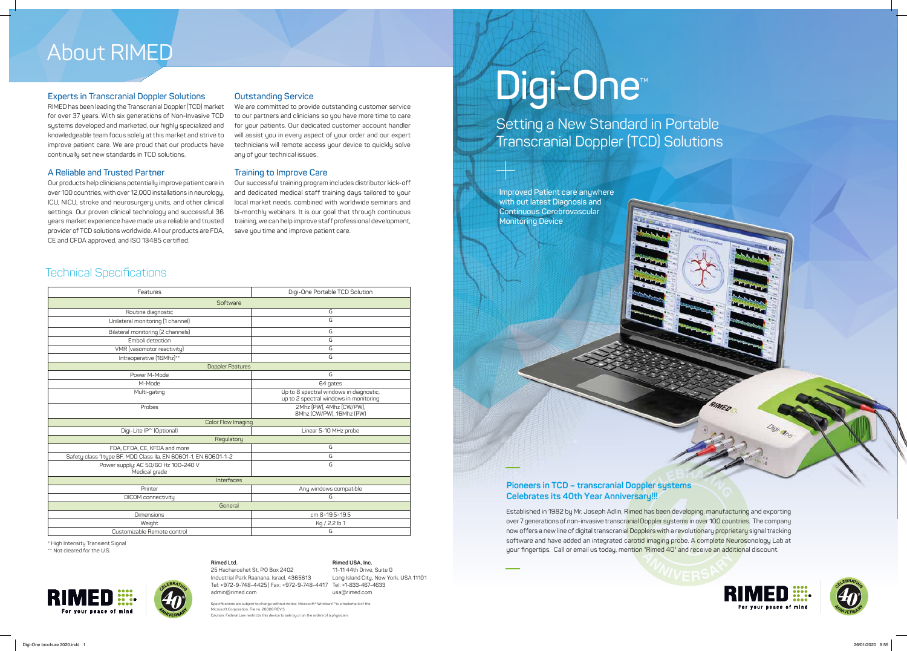\* High Intensity Transient Signal

\*\* Not cleared for the U.S.



## About RIMED

### Technical Specifications

| Features                                                        | Digi-One Portable TCD Solution                                                    |
|-----------------------------------------------------------------|-----------------------------------------------------------------------------------|
| Software                                                        |                                                                                   |
| Routine diagnostic                                              | G                                                                                 |
| Unilateral monitoring (1 channel)                               | G                                                                                 |
| Bilateral monitoring (2 channels)                               | G                                                                                 |
| Emboli detection                                                | G                                                                                 |
| VMR (vasomotor reactivity)                                      | G                                                                                 |
| Intraoperative (16Mhz)**                                        | G                                                                                 |
| <b>Doppler Features</b>                                         |                                                                                   |
| Power M-Mode                                                    | G                                                                                 |
| M-Mode                                                          | 64 gates                                                                          |
| Multi-gating                                                    | Up to 8 spectral windows in diagnostic,<br>up to 2 spectral windows in monitoring |
| Probes                                                          | 2Mhz (PW), 4Mhz (CW/PW),<br>8Mhz (CW/PW), 16Mhz (PW)                              |
| Color Flow Imaging                                              |                                                                                   |
| Digi-Lite IP <sup>™</sup> (Optional)                            | Linear 5-10 MHz probe                                                             |
| Regulatory                                                      |                                                                                   |
| FDA, CFDA, CE, KFDA and more                                    | G                                                                                 |
| Safety class 1 type BF, MDD Class IIa, EN 60601-1, EN 60601-1-2 | G                                                                                 |
| Power supply: AC 50/60 Hz 100-240 V<br>Medical grade            | G                                                                                 |
| Interfaces                                                      |                                                                                   |
| Printer                                                         | Any windows compatible                                                            |
| DICOM connectivity                                              | G                                                                                 |
| General                                                         |                                                                                   |
| <b>Dimensions</b>                                               | cm 8×19.5×19.5                                                                    |
| Weight                                                          | Kg / 2.2 lb 1                                                                     |
| Customizable Remote control                                     | G                                                                                 |

#### **Experts in Transcranial Doppler Solutions**

RIMED has been leading the Transcranial Doppler (TCD) market for over 37 years. With six generations of Non-Invasive TCD systems developed and marketed, our highly specialized and knowledgeable team focus solely at this market and strive to improve patient care. We are proud that our products have continually set new standards in TCD solutions.

#### **A Reliable and Trusted Partner**

pecifications are subject to change without notice. Microsoft® Windows™ is a trademark of the Microsoft Corporation. File no. 26006 REV 3

Our products help clinicians potentially improve patient care in over 100 countries, with over 12,000 installations in neurology, ICU, NICU, stroke and neurosurgery units, and other clinical settings. Our proven clinical technology and successful 36 years market experience have made us a reliable and trusted provider of TCD solutions worldwide. All our products are FDA, CE and CFDA approved, and ISO 13485 certified.

#### **Outstanding Service**

We are committed to provide outstanding customer service to our partners and clinicians so you have more time to care for your patients. Our dedicated customer account handler will assist you in every aspect of your order and our expert technicians will remote access your device to quickly solve any of your technical issues.

#### **Training to Improve Care**

Our successful training program includes distributor kick-off and dedicated medical staff training days tailored to your local market needs, combined with worldwide seminars and bi-monthly webinars. It is our goal that through continuous training, we can help improve staff professional development, save you time and improve patient care.



25 Hacharoshet St. P.O Box 2402 Industrial Park Raanana, Israel, 4365613 Tel: +972-9-748-4425 | Fax: +972-9-748-4417 Tel: +1-833-467-4633 admin@rimed.com

**Rimed USA, Inc.** 11-11 44th Drive, Suite G Long Island City, New York, USA 11101 usa@rimed.com

Caution: Federal Law restricts this device to sale by or on the orders of a physician

# Digi-One<sup>®</sup>



Established in 1982 by Mr. Joseph Adlin, Rimed has been developing, manufacturing and exporting over 7 generations of non-invasive transcranial Doppler systems in over 100 countries. The company now offers a new line of digital transcranial Dopplers with a revolutionary proprietary signal tracking software and have added an integrated carotid imaging probe. A complete Neurosonology Lab at your fingertips. Call or email us today, mention "Rimed 40" and receive an additional discount.

#### **Pioneers in TCD – transcranial Doppler systems Celebrates its 40th Year Anniversary!!!**



Setting a New Standard in Portable Transcranial Doppler (TCD) Solutions

**Improved Patient care anywhere with out latest Diagnosis and Continuous Cerebrovascular Monitoring Device**